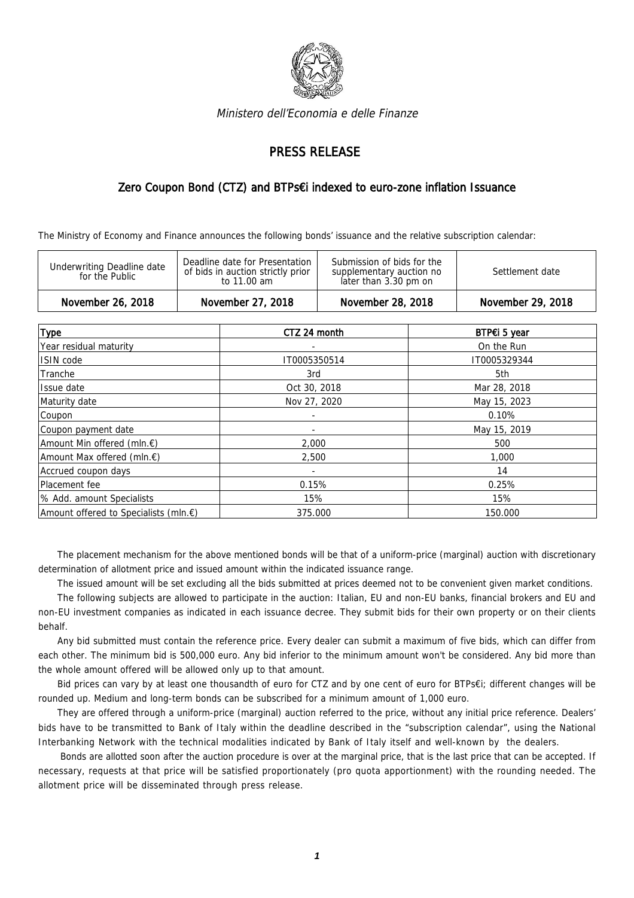

Ministero dell'Economia e delle Finanze

## PRESS RELEASE

## Zero Coupon Bond (CTZ) and BTPs€i indexed to euro-zone inflation Issuance

The Ministry of Economy and Finance announces the following bonds' issuance and the relative subscription calendar:

| Submission of bids for the<br>Deadline date for Presentation<br>Underwriting Deadline date<br>of bids in auction strictly prior<br>Settlement date<br>supplementary auction no<br>for the Public<br>later than 3.30 pm on<br>to 11.00 am | November 26, 2018 | November 27, 2018 | November 28, 2018 | November 29, 2018 |
|------------------------------------------------------------------------------------------------------------------------------------------------------------------------------------------------------------------------------------------|-------------------|-------------------|-------------------|-------------------|
|                                                                                                                                                                                                                                          |                   |                   |                   |                   |

| <b>Type</b>                           | CTZ 24 month             | BTP€i 5 year |
|---------------------------------------|--------------------------|--------------|
| Year residual maturity                | ٠                        | On the Run   |
| ISIN code                             | IT0005350514             | IT0005329344 |
| Tranche                               | 3rd                      | 5th          |
| Issue date                            | Oct 30, 2018             | Mar 28, 2018 |
| Maturity date                         | Nov 27, 2020             | May 15, 2023 |
| Coupon                                | $\overline{\phantom{a}}$ | 0.10%        |
| Coupon payment date                   |                          | May 15, 2019 |
| Amount Min offered (mln.€)            | 2,000                    | 500          |
| Amount Max offered (mln.€)            | 2,500                    | 1,000        |
| Accrued coupon days                   |                          | 14           |
| Placement fee                         | 0.15%                    | 0.25%        |
| % Add. amount Specialists             | 15%                      | 15%          |
| Amount offered to Specialists (mln.€) | 375.000                  | 150.000      |

The placement mechanism for the above mentioned bonds will be that of a uniform-price (marginal) auction with discretionary determination of allotment price and issued amount within the indicated issuance range.

The issued amount will be set excluding all the bids submitted at prices deemed not to be convenient given market conditions.

The following subjects are allowed to participate in the auction: Italian, EU and non-EU banks, financial brokers and EU and non-EU investment companies as indicated in each issuance decree. They submit bids for their own property or on their clients behalf.

Any bid submitted must contain the reference price. Every dealer can submit a maximum of five bids, which can differ from each other. The minimum bid is 500,000 euro. Any bid inferior to the minimum amount won't be considered. Any bid more than the whole amount offered will be allowed only up to that amount.

Bid prices can vary by at least one thousandth of euro for CTZ and by one cent of euro for BTPs€i; different changes will be rounded up. Medium and long-term bonds can be subscribed for a minimum amount of 1,000 euro.

They are offered through a uniform-price (marginal) auction referred to the price, without any initial price reference. Dealers' bids have to be transmitted to Bank of Italy within the deadline described in the "subscription calendar", using the National Interbanking Network with the technical modalities indicated by Bank of Italy itself and well-known by the dealers.

 Bonds are allotted soon after the auction procedure is over at the marginal price, that is the last price that can be accepted. If necessary, requests at that price will be satisfied proportionately (pro quota apportionment) with the rounding needed. The allotment price will be disseminated through press release.